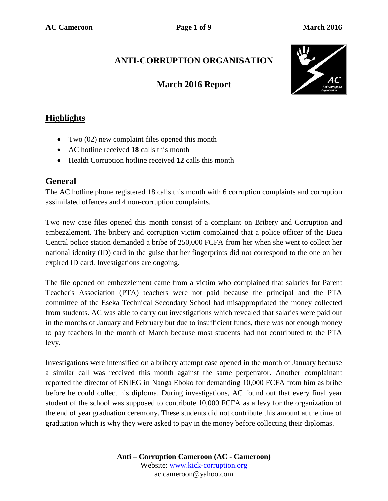# **ANTI-CORRUPTION ORGANISATION**

## **March 2016 Report**



## **Highlights**

- Two (02) new complaint files opened this month
- AC hotline received **18** calls this month
- Health Corruption hotline received **12** calls this month

#### **General**

The AC hotline phone registered 18 calls this month with 6 corruption complaints and corruption assimilated offences and 4 non-corruption complaints.

Two new case files opened this month consist of a complaint on Bribery and Corruption and embezzlement. The bribery and corruption victim complained that a police officer of the Buea Central police station demanded a bribe of 250,000 FCFA from her when she went to collect her national identity (ID) card in the guise that her fingerprints did not correspond to the one on her expired ID card. Investigations are ongoing.

The file opened on embezzlement came from a victim who complained that salaries for Parent Teacher's Association (PTA) teachers were not paid because the principal and the PTA committee of the Eseka Technical Secondary School had misappropriated the money collected from students. AC was able to carry out investigations which revealed that salaries were paid out in the months of January and February but due to insufficient funds, there was not enough money to pay teachers in the month of March because most students had not contributed to the PTA levy.

Investigations were intensified on a bribery attempt case opened in the month of January because a similar call was received this month against the same perpetrator. Another complainant reported the director of ENIEG in Nanga Eboko for demanding 10,000 FCFA from him as bribe before he could collect his diploma. During investigations, AC found out that every final year student of the school was supposed to contribute 10,000 FCFA as a levy for the organization of the end of year graduation ceremony. These students did not contribute this amount at the time of graduation which is why they were asked to pay in the money before collecting their diplomas.

> **Anti – Corruption Cameroon (AC - Cameroon)** Website: [www.kick-corruption.org](http://www.kick-corruption.org/) ac.cameroon@yahoo.com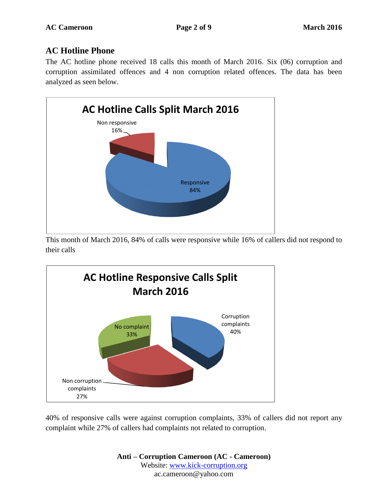### **AC Hotline Phone**

The AC hotline phone received 18 calls this month of March 2016. Six (06) corruption and corruption assimilated offences and 4 non corruption related offences. The data has been analyzed as seen below.



This month of March 2016, 84% of calls were responsive while 16% of callers did not respond to their calls



40% of responsive calls were against corruption complaints, 33% of callers did not report any complaint while 27% of callers had complaints not related to corruption.

> **Anti – Corruption Cameroon (AC - Cameroon)** Website: [www.kick-corruption.org](http://www.kick-corruption.org/) ac.cameroon@yahoo.com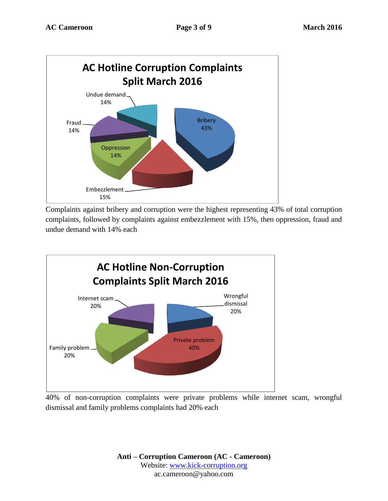

Complaints against bribery and corruption were the highest representing 43% of total corruption complaints, followed by complaints against embezzlement with 15%, then oppression, fraud and undue demand with 14% each



40% of non-corruption complaints were private problems while internet scam, wrongful dismissal and family problems complaints had 20% each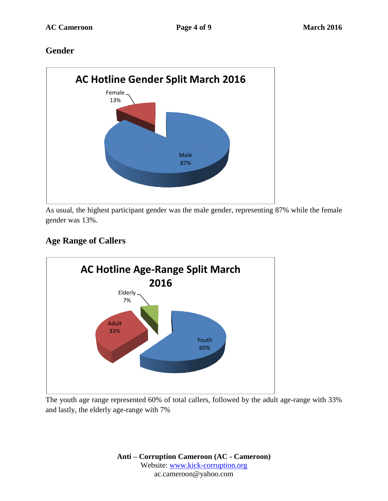### **Gender**



As usual, the highest participant gender was the male gender, representing 87% while the female gender was 13%.

## **Age Range of Callers**



The youth age range represented 60% of total callers, followed by the adult age-range with 33% and lastly, the elderly age-range with 7%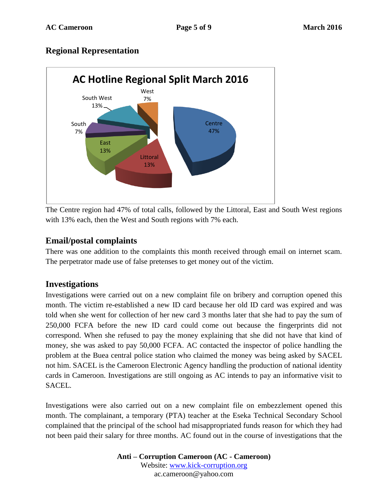### **Regional Representation**



The Centre region had 47% of total calls, followed by the Littoral, East and South West regions with 13% each, then the West and South regions with 7% each.

#### **Email/postal complaints**

There was one addition to the complaints this month received through email on internet scam. The perpetrator made use of false pretenses to get money out of the victim.

#### **Investigations**

Investigations were carried out on a new complaint file on bribery and corruption opened this month. The victim re-established a new ID card because her old ID card was expired and was told when she went for collection of her new card 3 months later that she had to pay the sum of 250,000 FCFA before the new ID card could come out because the fingerprints did not correspond. When she refused to pay the money explaining that she did not have that kind of money, she was asked to pay 50,000 FCFA. AC contacted the inspector of police handling the problem at the Buea central police station who claimed the money was being asked by SACEL not him. SACEL is the Cameroon Electronic Agency handling the production of national identity cards in Cameroon. Investigations are still ongoing as AC intends to pay an informative visit to SACEL.

Investigations were also carried out on a new complaint file on embezzlement opened this month. The complainant, a temporary (PTA) teacher at the Eseka Technical Secondary School complained that the principal of the school had misappropriated funds reason for which they had not been paid their salary for three months. AC found out in the course of investigations that the

> **Anti – Corruption Cameroon (AC - Cameroon)** Website: [www.kick-corruption.org](http://www.kick-corruption.org/) ac.cameroon@yahoo.com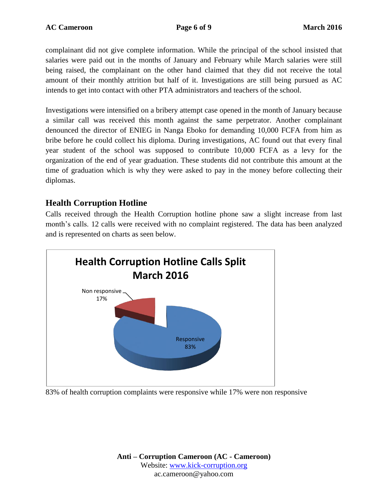complainant did not give complete information. While the principal of the school insisted that salaries were paid out in the months of January and February while March salaries were still being raised, the complainant on the other hand claimed that they did not receive the total amount of their monthly attrition but half of it. Investigations are still being pursued as AC intends to get into contact with other PTA administrators and teachers of the school.

Investigations were intensified on a bribery attempt case opened in the month of January because a similar call was received this month against the same perpetrator. Another complainant denounced the director of ENIEG in Nanga Eboko for demanding 10,000 FCFA from him as bribe before he could collect his diploma. During investigations, AC found out that every final year student of the school was supposed to contribute 10,000 FCFA as a levy for the organization of the end of year graduation. These students did not contribute this amount at the time of graduation which is why they were asked to pay in the money before collecting their diplomas.

### **Health Corruption Hotline**

Calls received through the Health Corruption hotline phone saw a slight increase from last month's calls. 12 calls were received with no complaint registered. The data has been analyzed and is represented on charts as seen below.



83% of health corruption complaints were responsive while 17% were non responsive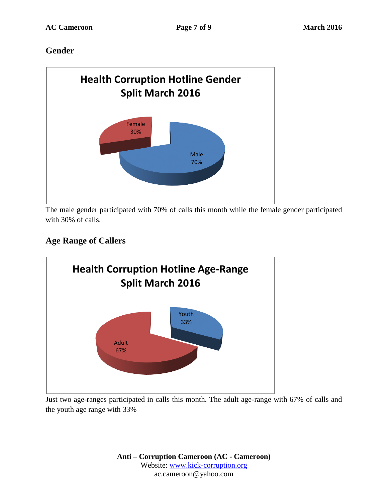## **Gender**



The male gender participated with 70% of calls this month while the female gender participated with 30% of calls.

# **Age Range of Callers**



Just two age-ranges participated in calls this month. The adult age-range with 67% of calls and the youth age range with 33%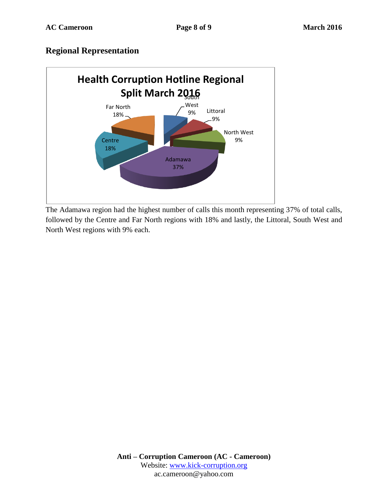### **Regional Representation**



The Adamawa region had the highest number of calls this month representing 37% of total calls, followed by the Centre and Far North regions with 18% and lastly, the Littoral, South West and North West regions with 9% each.